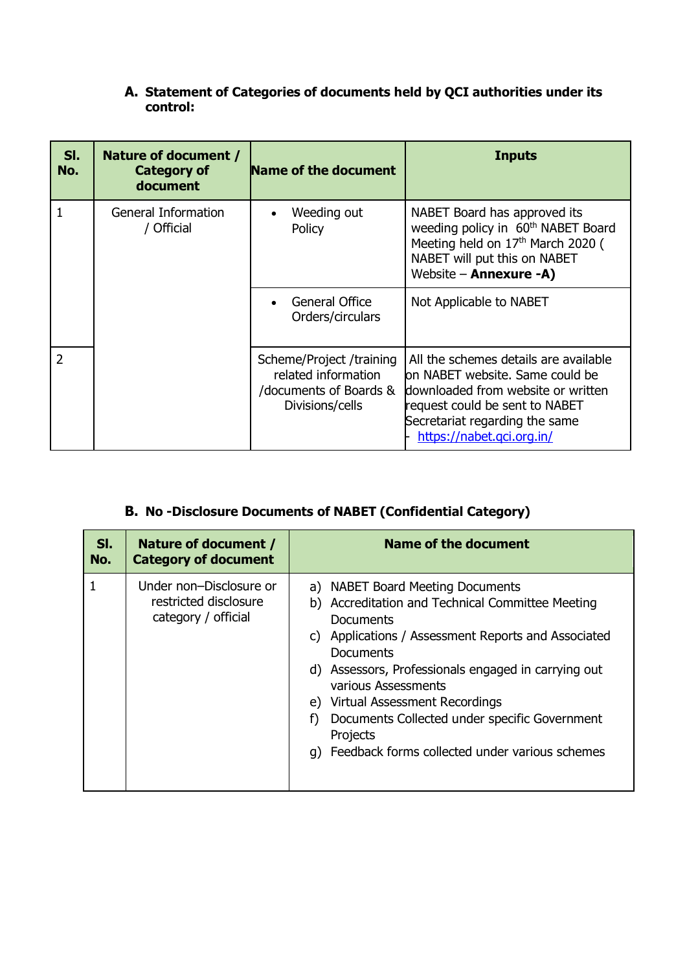## **A. Statement of Categories of documents held by QCI authorities under its control:**

| SI.<br>No.     | Nature of document /<br><b>Category of</b><br>document | Name of the document                                                                         | <b>Inputs</b>                                                                                                                                                                                                   |
|----------------|--------------------------------------------------------|----------------------------------------------------------------------------------------------|-----------------------------------------------------------------------------------------------------------------------------------------------------------------------------------------------------------------|
|                | General Information<br>/ Official                      | Weeding out<br>Policy                                                                        | NABET Board has approved its<br>weeding policy in 60 <sup>th</sup> NABET Board<br>Meeting held on 17th March 2020 (<br>NABET will put this on NABET<br>Website - Annexure -A)                                   |
|                |                                                        | General Office<br>Orders/circulars                                                           | Not Applicable to NABET                                                                                                                                                                                         |
| $\overline{2}$ |                                                        | Scheme/Project /training<br>related information<br>/documents of Boards &<br>Divisions/cells | All the schemes details are available<br>on NABET website. Same could be<br>downloaded from website or written<br>request could be sent to NABET<br>Secretariat regarding the same<br>https://nabet.gci.org.in/ |

## **B. No -Disclosure Documents of NABET (Confidential Category)**

| SI.<br>No. | Nature of document /<br><b>Category of document</b>                     | <b>Name of the document</b>                                                                                                                                                                                                                                                                                                                                                                                     |
|------------|-------------------------------------------------------------------------|-----------------------------------------------------------------------------------------------------------------------------------------------------------------------------------------------------------------------------------------------------------------------------------------------------------------------------------------------------------------------------------------------------------------|
|            | Under non-Disclosure or<br>restricted disclosure<br>category / official | a) NABET Board Meeting Documents<br>b) Accreditation and Technical Committee Meeting<br>Documents<br>c) Applications / Assessment Reports and Associated<br>Documents<br>d) Assessors, Professionals engaged in carrying out<br>various Assessments<br>e) Virtual Assessment Recordings<br>Documents Collected under specific Government<br>f)<br>Projects<br>q) Feedback forms collected under various schemes |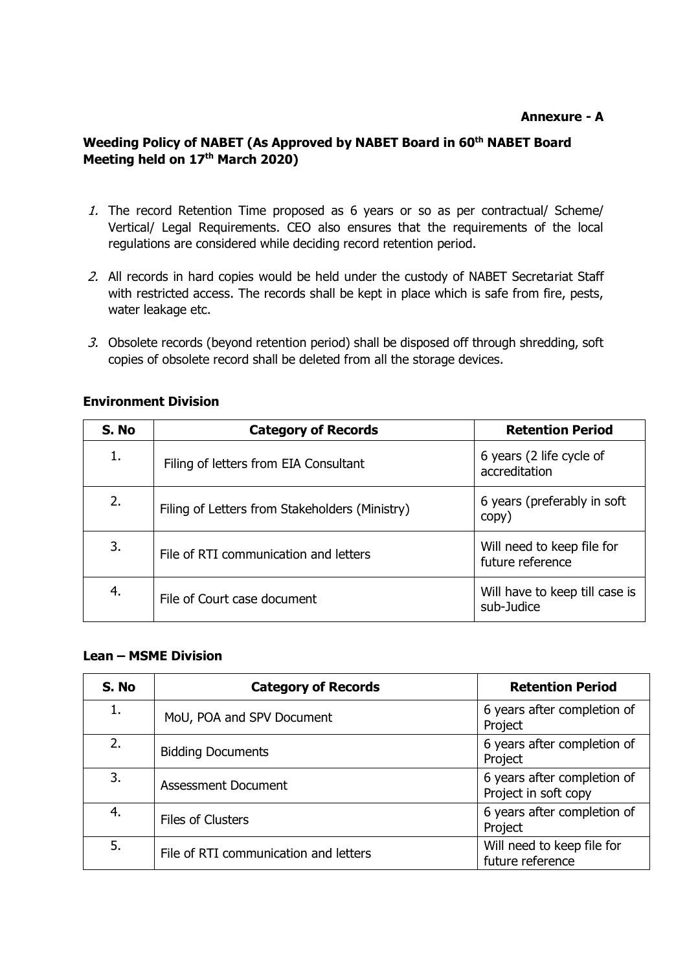#### **Annexure - A**

### **Weeding Policy of NABET (As Approved by NABET Board in 60th NABET Board Meeting held on 17th March 2020)**

- 1. The record Retention Time proposed as 6 years or so as per contractual/ Scheme/ Vertical/ Legal Requirements. CEO also ensures that the requirements of the local regulations are considered while deciding record retention period.
- 2. All records in hard copies would be held under the custody of NABET Secretariat Staff with restricted access. The records shall be kept in place which is safe from fire, pests, water leakage etc.
- 3. Obsolete records (beyond retention period) shall be disposed off through shredding, soft copies of obsolete record shall be deleted from all the storage devices.

### **Environment Division**

| S. No | <b>Category of Records</b>                     | <b>Retention Period</b>                        |
|-------|------------------------------------------------|------------------------------------------------|
| 1.    | Filing of letters from EIA Consultant          | 6 years (2 life cycle of<br>accreditation      |
| 2.    | Filing of Letters from Stakeholders (Ministry) | 6 years (preferably in soft<br>copy)           |
| 3.    | File of RTI communication and letters          | Will need to keep file for<br>future reference |
| 4.    | File of Court case document                    | Will have to keep till case is<br>sub-Judice   |

#### **Lean – MSME Division**

| S. No | <b>Category of Records</b>            | <b>Retention Period</b>                             |
|-------|---------------------------------------|-----------------------------------------------------|
| 1.    | MoU, POA and SPV Document             | 6 years after completion of<br>Project              |
| 2.    | <b>Bidding Documents</b>              | 6 years after completion of<br>Project              |
| 3.    | <b>Assessment Document</b>            | 6 years after completion of<br>Project in soft copy |
| 4.    | <b>Files of Clusters</b>              | 6 years after completion of<br>Project              |
| 5.    | File of RTI communication and letters | Will need to keep file for<br>future reference      |